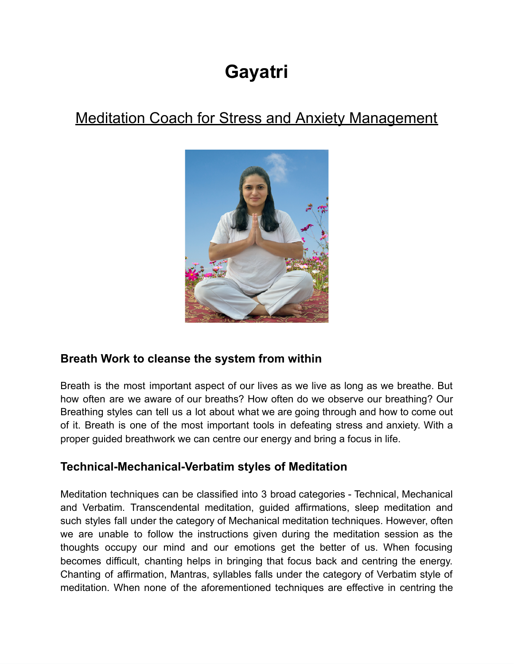# **Gayatri**

## Meditation Coach for Stress and Anxiety Management



#### **Breath Work to cleanse the system from within**

Breath is the most important aspect of our lives as we live as long as we breathe. But how often are we aware of our breaths? How often do we observe our breathing? Our Breathing styles can tell us a lot about what we are going through and how to come out of it. Breath is one of the most important tools in defeating stress and anxiety. With a proper guided breathwork we can centre our energy and bring a focus in life.

#### **Technical-Mechanical-Verbatim styles of Meditation**

Meditation techniques can be classified into 3 broad categories - Technical, Mechanical and Verbatim. Transcendental meditation, guided affirmations, sleep meditation and such styles fall under the category of Mechanical meditation techniques. However, often we are unable to follow the instructions given during the meditation session as the thoughts occupy our mind and our emotions get the better of us. When focusing becomes difficult, chanting helps in bringing that focus back and centring the energy. Chanting of affirmation, Mantras, syllables falls under the category of Verbatim style of meditation. When none of the aforementioned techniques are effective in centring the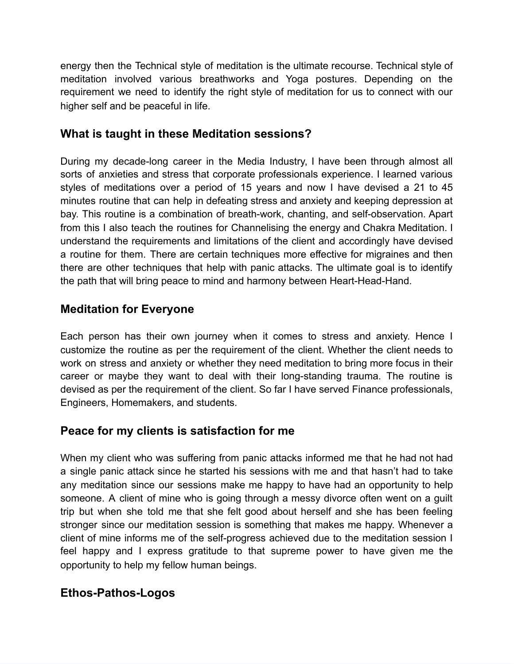energy then the Technical style of meditation is the ultimate recourse. Technical style of meditation involved various breathworks and Yoga postures. Depending on the requirement we need to identify the right style of meditation for us to connect with our higher self and be peaceful in life.

#### **What is taught in these Meditation sessions?**

During my decade-long career in the Media Industry, I have been through almost all sorts of anxieties and stress that corporate professionals experience. I learned various styles of meditations over a period of 15 years and now I have devised a 21 to 45 minutes routine that can help in defeating stress and anxiety and keeping depression at bay. This routine is a combination of breath-work, chanting, and self-observation. Apart from this I also teach the routines for Channelising the energy and Chakra Meditation. I understand the requirements and limitations of the client and accordingly have devised a routine for them. There are certain techniques more effective for migraines and then there are other techniques that help with panic attacks. The ultimate goal is to identify the path that will bring peace to mind and harmony between Heart-Head-Hand.

#### **Meditation for Everyone**

Each person has their own journey when it comes to stress and anxiety. Hence I customize the routine as per the requirement of the client. Whether the client needs to work on stress and anxiety or whether they need meditation to bring more focus in their career or maybe they want to deal with their long-standing trauma. The routine is devised as per the requirement of the client. So far I have served Finance professionals, Engineers, Homemakers, and students.

#### **Peace for my clients is satisfaction for me**

When my client who was suffering from panic attacks informed me that he had not had a single panic attack since he started his sessions with me and that hasn't had to take any meditation since our sessions make me happy to have had an opportunity to help someone. A client of mine who is going through a messy divorce often went on a guilt trip but when she told me that she felt good about herself and she has been feeling stronger since our meditation session is something that makes me happy. Whenever a client of mine informs me of the self-progress achieved due to the meditation session I feel happy and I express gratitude to that supreme power to have given me the opportunity to help my fellow human beings.

#### **Ethos-Pathos-Logos**